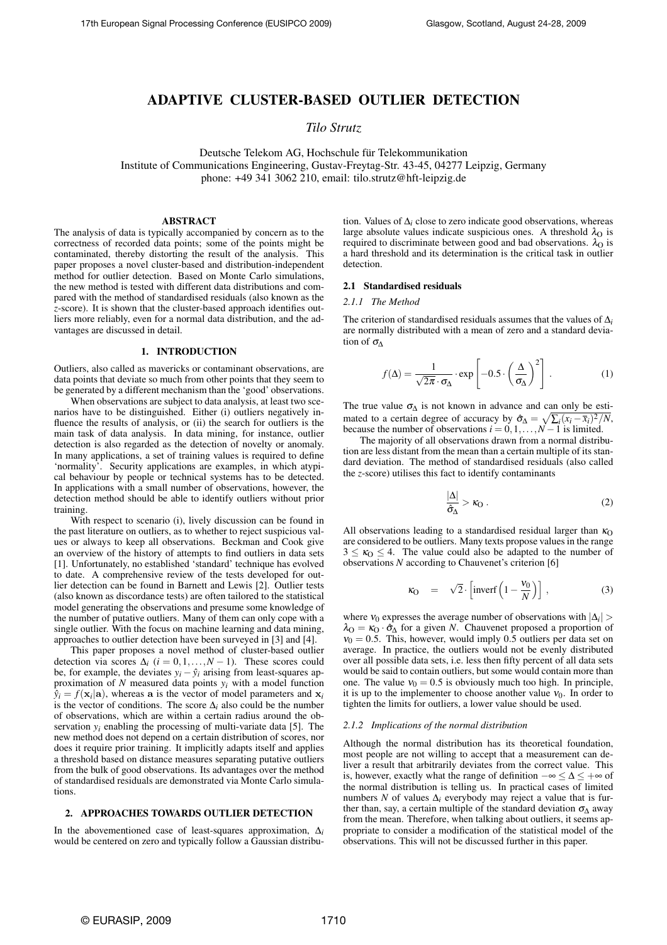# **ADAPTIVE CLUSTER-BASED OUTLIER DETECTION**

*Tilo Strutz*

Deutsche Telekom AG, Hochschule für Telekommunikation Institute of Communications Engineering, Gustav-Freytag-Str. 43-45, 04277 Leipzig, Germany phone: +49 341 3062 210, email: tilo.strutz@hft-leipzig.de

### **ABSTRACT**

The analysis of data is typically accompanied by concern as to the correctness of recorded data points; some of the points might be contaminated, thereby distorting the result of the analysis. This paper proposes a novel cluster-based and distribution-independent method for outlier detection. Based on Monte Carlo simulations, the new method is tested with different data distributions and compared with the method of standardised residuals (also known as the *z*-score). It is shown that the cluster-based approach identifies outliers more reliably, even for a normal data distribution, and the advantages are discussed in detail.

#### **1. INTRODUCTION**

Outliers, also called as mavericks or contaminant observations, are data points that deviate so much from other points that they seem to be generated by a different mechanism than the 'good' observations.

When observations are subject to data analysis, at least two scenarios have to be distinguished. Either (i) outliers negatively influence the results of analysis, or (ii) the search for outliers is the main task of data analysis. In data mining, for instance, outlier detection is also regarded as the detection of novelty or anomaly. In many applications, a set of training values is required to define 'normality'. Security applications are examples, in which atypical behaviour by people or technical systems has to be detected. In applications with a small number of observations, however, the detection method should be able to identify outliers without prior training.

With respect to scenario (i), lively discussion can be found in the past literature on outliers, as to whether to reject suspicious values or always to keep all observations. Beckman and Cook give an overview of the history of attempts to find outliers in data sets [1]. Unfortunately, no established 'standard' technique has evolved to date. A comprehensive review of the tests developed for outlier detection can be found in Barnett and Lewis [2]. Outlier tests (also known as discordance tests) are often tailored to the statistical model generating the observations and presume some knowledge of the number of putative outliers. Many of them can only cope with a single outlier. With the focus on machine learning and data mining, approaches to outlier detection have been surveyed in [3] and [4].

This paper proposes a novel method of cluster-based outlier detection via scores  $\Delta_i$  (*i* = 0,1,...,*N* − 1). These scores could be, for example, the deviates  $y_i - \hat{y}_i$  arising from least-squares approximation of *N* measured data points *yi* with a model function  $\hat{y}_i = f(\mathbf{x}_i | \mathbf{a})$ , whereas **a** is the vector of model parameters and  $\mathbf{x}_i$ is the vector of conditions. The score  $\Delta_i$  also could be the number of observations, which are within a certain radius around the observation  $y_i$  enabling the processing of multi-variate data [5]. The new method does not depend on a certain distribution of scores, nor does it require prior training. It implicitly adapts itself and applies a threshold based on distance measures separating putative outliers from the bulk of good observations. Its advantages over the method of standardised residuals are demonstrated via Monte Carlo simulations.

# **2. APPROACHES TOWARDS OUTLIER DETECTION**

In the abovementioned case of least-squares approximation, ∆*<sup>i</sup>* would be centered on zero and typically follow a Gaussian distribution. Values of ∆*<sup>i</sup>* close to zero indicate good observations, whereas large absolute values indicate suspicious ones. A threshold  $\lambda_{\text{O}}$  is required to discriminate between good and bad observations.  $\lambda_0$  is a hard threshold and its determination is the critical task in outlier detection.

### **2.1 Standardised residuals**

### *2.1.1 The Method*

The criterion of standardised residuals assumes that the values of ∆*<sup>i</sup>* are normally distributed with a mean of zero and a standard deviation of  $\sigma$ <sub> $\wedge$ </sub>

$$
f(\Delta) = \frac{1}{\sqrt{2\pi} \cdot \sigma_{\Delta}} \cdot \exp\left[-0.5 \cdot \left(\frac{\Delta}{\sigma_{\Delta}}\right)^{2}\right].
$$
 (1)

The true value  $\sigma_{\Delta}$  is not known in advance and can only be estimated to a certain degree of accuracy by  $\hat{\sigma}_{\Delta} = \sqrt{\sum_i (x_i - \bar{x}_i)^2 / N}$ , because the number of observations  $i = 0, 1, \ldots, N - 1$  is limited.

The majority of all observations drawn from a normal distribution are less distant from the mean than a certain multiple of its standard deviation. The method of standardised residuals (also called the *z*-score) utilises this fact to identify contaminants

$$
\frac{|\Delta|}{\hat{\sigma}_{\Delta}} > \kappa_{\rm O} \ . \tag{2}
$$

All observations leading to a standardised residual larger than  $\kappa_O$ are considered to be outliers. Many texts propose values in the range  $3 \leq \kappa_0 \leq 4$ . The value could also be adapted to the number of observations *N* according to Chauvenet's criterion [6]

$$
\kappa_0 = \sqrt{2} \cdot \left[ \text{inverf} \left( 1 - \frac{v_0}{N} \right) \right] \,, \tag{3}
$$

where  $v_0$  expresses the average number of observations with  $|\Delta_i| >$  $\lambda_{\text{O}} = \kappa_{\text{O}} \cdot \hat{\sigma}_{\text{A}}$  for a given *N*. Chauvenet proposed a proportion of  $v_0 = 0.5$ . This, however, would imply 0.5 outliers per data set on average. In practice, the outliers would not be evenly distributed over all possible data sets, i.e. less then fifty percent of all data sets would be said to contain outliers, but some would contain more than one. The value  $v_0 = 0.5$  is obviously much too high. In principle, it is up to the implementer to choose another value  $v_0$ . In order to tighten the limits for outliers, a lower value should be used.

#### *2.1.2 Implications of the normal distribution*

Although the normal distribution has its theoretical foundation, most people are not willing to accept that a measurement can deliver a result that arbitrarily deviates from the correct value. This is, however, exactly what the range of definition  $-\infty \leq \Delta \leq +\infty$  of the normal distribution is telling us. In practical cases of limited numbers *N* of values  $\Delta_i$  everybody may reject a value that is further than, say, a certain multiple of the standard deviation  $\sigma_{\Lambda}$  away from the mean. Therefore, when talking about outliers, it seems appropriate to consider a modification of the statistical model of the observations. This will not be discussed further in this paper.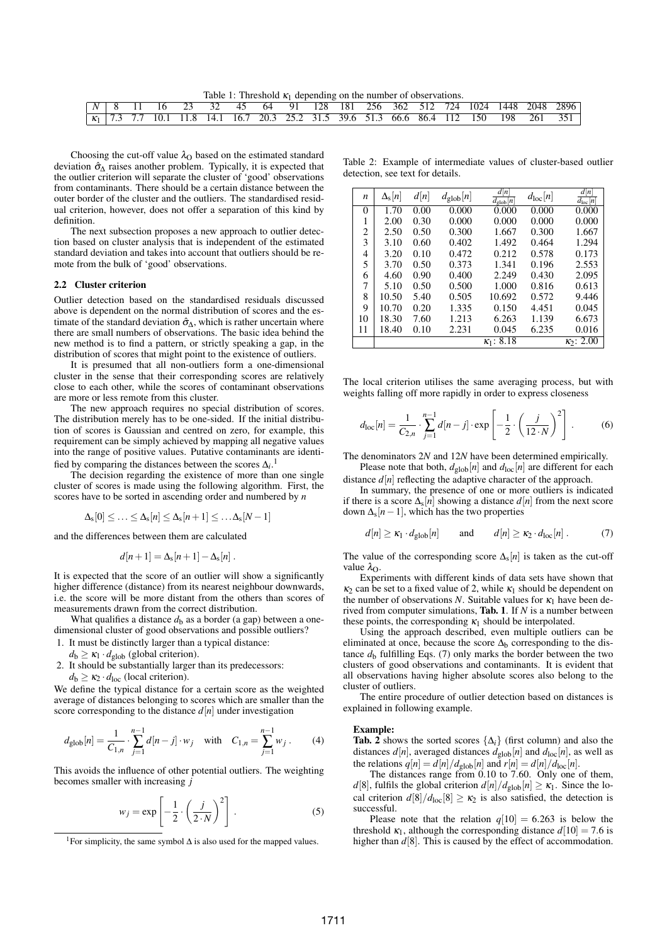Table 1: Threshold  $\kappa_1$  depending on the number of observations.

|  |  |  |  |  |  |  |  |  |  |  |  |  |  |  | 1 8 11 16 23 32 45 64 91 128 181 256 362 512 724 1024 1448 2048 2896                                                                                                   |
|--|--|--|--|--|--|--|--|--|--|--|--|--|--|--|------------------------------------------------------------------------------------------------------------------------------------------------------------------------|
|  |  |  |  |  |  |  |  |  |  |  |  |  |  |  | $\begin{array}{ccccccccc} \kappa_1 & 7.3 & 7.7 & 10.1 & 11.8 & 14.1 & 16.7 & 20.3 & 25.2 & 31.5 & 39.6 & 51.3 & 66.6 & 86.4 & 112 & 150 & 198 & 261 & 351 \end{array}$ |

Choosing the cut-off value  $\lambda_{\text{O}}$  based on the estimated standard deviation  $\hat{\sigma}_{\Lambda}$  raises another problem. Typically, it is expected that the outlier criterion will separate the cluster of 'good' observations from contaminants. There should be a certain distance between the outer border of the cluster and the outliers. The standardised residual criterion, however, does not offer a separation of this kind by definition.

The next subsection proposes a new approach to outlier detection based on cluster analysis that is independent of the estimated standard deviation and takes into account that outliers should be remote from the bulk of 'good' observations.

### **2.2 Cluster criterion**

Outlier detection based on the standardised residuals discussed above is dependent on the normal distribution of scores and the estimate of the standard deviation  $\hat{\sigma}_{\Delta}$ , which is rather uncertain where there are small numbers of observations. The basic idea behind the new method is to find a pattern, or strictly speaking a gap, in the distribution of scores that might point to the existence of outliers.

It is presumed that all non-outliers form a one-dimensional cluster in the sense that their corresponding scores are relatively close to each other, while the scores of contaminant observations are more or less remote from this cluster.

The new approach requires no special distribution of scores. The distribution merely has to be one-sided. If the initial distribution of scores is Gaussian and centred on zero, for example, this requirement can be simply achieved by mapping all negative values into the range of positive values. Putative contaminants are identified by comparing the distances between the scores  $\Delta_i$ .<sup>1</sup>

The decision regarding the existence of more than one single cluster of scores is made using the following algorithm. First, the scores have to be sorted in ascending order and numbered by *n*

$$
\Delta_{\rm s}[0] \leq \ldots \leq \Delta_{\rm s}[n] \leq \Delta_{\rm s}[n+1] \leq \ldots \Delta_{\rm s}[N-1]
$$

and the differences between them are calculated

$$
d[n+1] = \Delta_{\rm s}[n+1] - \Delta_{\rm s}[n] \ .
$$

It is expected that the score of an outlier will show a significantly higher difference (distance) from its nearest neighbour downwards, i.e. the score will be more distant from the others than scores of measurements drawn from the correct distribution.

What qualifies a distance  $d<sub>b</sub>$  as a border (a gap) between a onedimensional cluster of good observations and possible outliers?

- 1. It must be distinctly larger than a typical distance:
- $d_b \geq \kappa_1 \cdot d_{\text{glob}}$  (global criterion).
- 2. It should be substantially larger than its predecessors:
- $d_b \geq \kappa_2 \cdot d_{\text{loc}}$  (local criterion).

We define the typical distance for a certain score as the weighted average of distances belonging to scores which are smaller than the score corresponding to the distance  $d[n]$  under investigation

$$
d_{\text{glob}}[n] = \frac{1}{C_{1,n}} \cdot \sum_{j=1}^{n-1} d[n-j] \cdot w_j \quad \text{with} \quad C_{1,n} = \sum_{j=1}^{n-1} w_j \,. \tag{4}
$$

This avoids the influence of other potential outliers. The weighting becomes smaller with increasing *j*

$$
w_j = \exp\left[-\frac{1}{2} \cdot \left(\frac{j}{2 \cdot N}\right)^2\right].
$$
 (5)

Table 2: Example of intermediate values of cluster-based outlier detection, see text for details.

| n        | $\Delta_{\rm s}$  n | d[n] | $d_{\text{glob}}[n]$ | d[n]<br>$d_{\text{glob}}[n]$ | $d_{\text{loc}}[n]$ | d[n]<br>$\overline{d_{\text{loc}}[n]}$ |
|----------|---------------------|------|----------------------|------------------------------|---------------------|----------------------------------------|
| $\theta$ | 1.70                | 0.00 | 0.000                | 0.000                        | 0.000               | 0.000                                  |
| 1        | 2.00                | 0.30 | 0.000                | 0.000                        | 0.000               | 0.000                                  |
| 2        | 2.50                | 0.50 | 0.300                | 1.667                        | 0.300               | 1.667                                  |
| 3        | 3.10                | 0.60 | 0.402                | 1.492                        | 0.464               | 1.294                                  |
| 4        | 3.20                | 0.10 | 0.472                | 0.212                        | 0.578               | 0.173                                  |
| 5        | 3.70                | 0.50 | 0.373                | 1.341                        | 0.196               | 2.553                                  |
| 6        | 4.60                | 0.90 | 0.400                | 2.249                        | 0.430               | 2.095                                  |
| 7        | 5.10                | 0.50 | 0.500                | 1.000                        | 0.816               | 0.613                                  |
| 8        | 10.50               | 5.40 | 0.505                | 10.692                       | 0.572               | 9.446                                  |
| 9        | 10.70               | 0.20 | 1.335                | 0.150                        | 4.451               | 0.045                                  |
| 10       | 18.30               | 7.60 | 1.213                | 6.263                        | 1.139               | 6.673                                  |
| 11       | 18.40               | 0.10 | 2.231                | 0.045                        | 6.235               | 0.016                                  |
|          |                     |      |                      | 8.18<br>$\kappa_1$ :         |                     | $\kappa_2$ : 2.00                      |

The local criterion utilises the same averaging process, but with weights falling off more rapidly in order to express closeness

$$
d_{\text{loc}}[n] = \frac{1}{C_{2,n}} \cdot \sum_{j=1}^{n-1} d[n-j] \cdot \exp\left[-\frac{1}{2} \cdot \left(\frac{j}{12 \cdot N}\right)^2\right].
$$
 (6)

The denominators 2*N* and 12*N* have been determined empirically. Please note that both,  $d_{\text{glob}}[n]$  and  $d_{\text{loc}}[n]$  are different for each

distance  $d[n]$  reflecting the adaptive character of the approach.

In summary, the presence of one or more outliers is indicated if there is a score  $\Delta_s[n]$  showing a distance  $d[n]$  from the next score down  $\Delta_s[n-1]$ , which has the two properties

$$
d[n] \ge \kappa_1 \cdot d_{\text{glob}}[n] \quad \text{and} \quad d[n] \ge \kappa_2 \cdot d_{\text{loc}}[n] \,. \tag{7}
$$

The value of the corresponding score  $\Delta_{s}[n]$  is taken as the cut-off value  $λ$ .

Experiments with different kinds of data sets have shown that  $\kappa_2$  can be set to a fixed value of 2, while  $\kappa_1$  should be dependent on the number of observations *N*. Suitable values for  $\kappa_1$  have been derived from computer simulations, **Tab. 1**. If *N* is a number between these points, the corresponding  $\kappa_1$  should be interpolated.

Using the approach described, even multiple outliers can be eliminated at once, because the score  $\Delta_b$  corresponding to the distance  $d_b$  fulfilling Eqs. (7) only marks the border between the two clusters of good observations and contaminants. It is evident that all observations having higher absolute scores also belong to the cluster of outliers.

The entire procedure of outlier detection based on distances is explained in following example.

#### **Example:**

**Tab. 2** shows the sorted scores  $\{\Delta_i\}$  (first column) and also the distances  $d[n]$ , averaged distances  $d_{\text{glob}}[n]$  and  $d_{\text{loc}}[n]$ , as well as the relations  $q[n] = d[n]/d_{\text{glob}}[n]$  and  $r[n] = d[n]/d_{\text{loc}}[n]$ .

The distances range from 0.10 to 7.60. Only one of them, *d*[8], fulfils the global criterion  $d[n]/d_{\text{glob}}[n] \ge \kappa_1$ . Since the local criterion  $d[8]/d_{\text{loc}}[8] \geq \kappa_2$  is also satisfied, the detection is successful.

Please note that the relation  $q[10] = 6.263$  is below the threshold  $\kappa_1$ , although the corresponding distance  $d[10] = 7.6$  is higher than  $d[8]$ . This is caused by the effect of accommodation.

<sup>&</sup>lt;sup>1</sup>For simplicity, the same symbol  $\Delta$  is also used for the mapped values.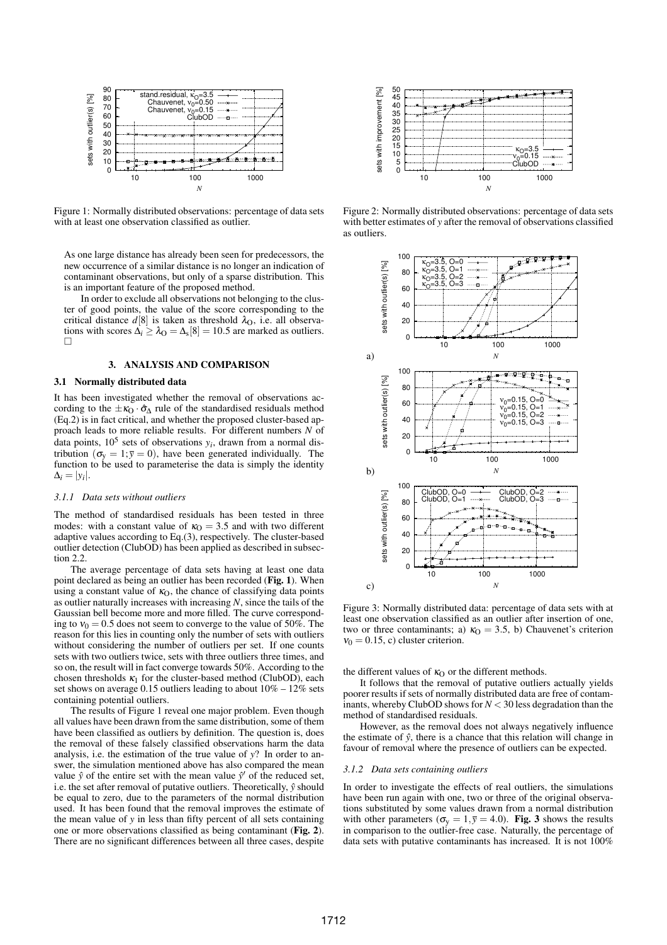

Figure 1: Normally distributed observations: percentage of data sets with at least one observation classified as outlier.

As one large distance has already been seen for predecessors, the new occurrence of a similar distance is no longer an indication of contaminant observations, but only of a sparse distribution. This is an important feature of the proposed method.

In order to exclude all observations not belonging to the cluster of good points, the value of the score corresponding to the critical distance  $d[8]$  is taken as threshold  $\lambda_{\text{O}}$ , i.e. all observations with scores  $\Delta_i \geq \lambda_O = \Delta_s[8] = 10.5$  are marked as outliers.  $\Box$ 

# **3. ANALYSIS AND COMPARISON**

#### **3.1 Normally distributed data**

It has been investigated whether the removal of observations according to the  $\pm \kappa_0 \cdot \hat{\sigma}_\Lambda$  rule of the standardised residuals method (Eq.2) is in fact critical, and whether the proposed cluster-based approach leads to more reliable results. For different numbers *N* of data points,  $10^5$  sets of observations  $y_i$ , drawn from a normal distribution ( $\sigma_{y} = 1$ ;  $\bar{y} = 0$ ), have been generated individually. The function to be used to parameterise the data is simply the identity  $\Delta_i = |y_i|.$ 

## *3.1.1 Data sets without outliers*

The method of standardised residuals has been tested in three modes: with a constant value of  $\kappa_0 = 3.5$  and with two different adaptive values according to Eq.(3), respectively. The cluster-based outlier detection (ClubOD) has been applied as described in subsection 2.2.

The average percentage of data sets having at least one data point declared as being an outlier has been recorded (**Fig. 1**). When using a constant value of  $\kappa_0$ , the chance of classifying data points as outlier naturally increases with increasing *N*, since the tails of the Gaussian bell become more and more filled. The curve corresponding to  $v_0 = 0.5$  does not seem to converge to the value of 50%. The reason for this lies in counting only the number of sets with outliers without considering the number of outliers per set. If one counts sets with two outliers twice, sets with three outliers three times, and so on, the result will in fact converge towards 50%. According to the chosen thresholds  $\kappa_1$  for the cluster-based method (ClubOD), each set shows on average 0.15 outliers leading to about  $10\% - 12\%$  sets containing potential outliers.

The results of Figure 1 reveal one major problem. Even though all values have been drawn from the same distribution, some of them have been classified as outliers by definition. The question is, does the removal of these falsely classified observations harm the data analysis, i.e. the estimation of the true value of *y*? In order to answer, the simulation mentioned above has also compared the mean value  $\hat{y}$  of the entire set with the mean value  $\hat{y}'$  of the reduced set, i.e. the set after removal of putative outliers. Theoretically,  $\hat{y}$  should be equal to zero, due to the parameters of the normal distribution used. It has been found that the removal improves the estimate of the mean value of *y* in less than fifty percent of all sets containing one or more observations classified as being contaminant (**Fig. 2**). There are no significant differences between all three cases, despite



Figure 2: Normally distributed observations: percentage of data sets with better estimates of *y* after the removal of observations classified as outliers.



Figure 3: Normally distributed data: percentage of data sets with at least one observation classified as an outlier after insertion of one, two or three contaminants; a)  $\kappa_0 = 3.5$ , b) Chauvenet's criterion  $v_0 = 0.15$ , c) cluster criterion.

the different values of  $\kappa_0$  or the different methods.

It follows that the removal of putative outliers actually yields poorer results if sets of normally distributed data are free of contaminants, whereby ClubOD shows for  $N < 30$  less degradation than the method of standardised residuals.

However, as the removal does not always negatively influence the estimate of  $\hat{v}$ , there is a chance that this relation will change in favour of removal where the presence of outliers can be expected.

### *3.1.2 Data sets containing outliers*

In order to investigate the effects of real outliers, the simulations have been run again with one, two or three of the original observations substituted by some values drawn from a normal distribution with other parameters ( $\sigma_{\rm v} = 1$ ,  $\bar{y} = 4.0$ ). **Fig. 3** shows the results in comparison to the outlier-free case. Naturally, the percentage of data sets with putative contaminants has increased. It is not 100%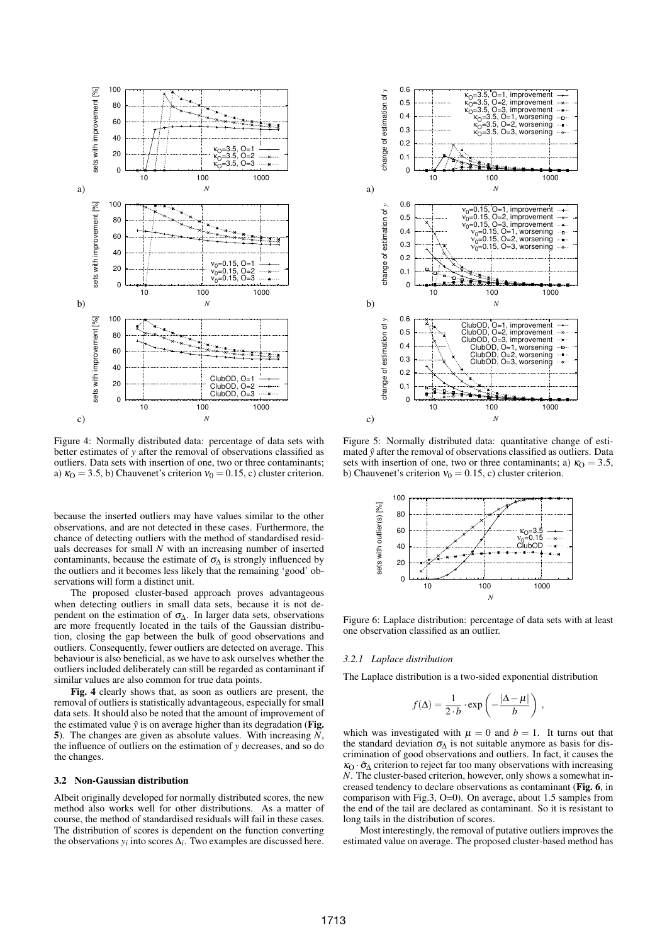

Figure 4: Normally distributed data: percentage of data sets with better estimates of *y* after the removal of observations classified as outliers. Data sets with insertion of one, two or three contaminants; a)  $\kappa_0 = 3.5$ , b) Chauvenet's criterion  $v_0 = 0.15$ , c) cluster criterion.

because the inserted outliers may have values similar to the other observations, and are not detected in these cases. Furthermore, the chance of detecting outliers with the method of standardised residuals decreases for small *N* with an increasing number of inserted contaminants, because the estimate of  $\sigma_A$  is strongly influenced by the outliers and it becomes less likely that the remaining 'good' observations will form a distinct unit.

The proposed cluster-based approach proves advantageous when detecting outliers in small data sets, because it is not dependent on the estimation of  $\sigma_{\Delta}$ . In larger data sets, observations are more frequently located in the tails of the Gaussian distribution, closing the gap between the bulk of good observations and outliers. Consequently, fewer outliers are detected on average. This behaviour is also beneficial, as we have to ask ourselves whether the outliers included deliberately can still be regarded as contaminant if similar values are also common for true data points.

**Fig. 4** clearly shows that, as soon as outliers are present, the removal of outliers is statistically advantageous, especially for small data sets. It should also be noted that the amount of improvement of the estimated value  $\hat{v}$  is on average higher than its degradation (**Fig. 5**). The changes are given as absolute values. With increasing *N*, the influence of outliers on the estimation of *y* decreases, and so do the changes.

# **3.2 Non-Gaussian distribution**

Albeit originally developed for normally distributed scores, the new method also works well for other distributions. As a matter of course, the method of standardised residuals will fail in these cases. The distribution of scores is dependent on the function converting the observations  $y_i$  into scores  $\Delta_i$ . Two examples are discussed here.



Figure 5: Normally distributed data: quantitative change of estimated  $\hat{y}$  after the removal of observations classified as outliers. Data sets with insertion of one, two or three contaminants; a)  $\kappa_0 = 3.5$ , b) Chauvenet's criterion  $v_0 = 0.15$ , c) cluster criterion.



Figure 6: Laplace distribution: percentage of data sets with at least one observation classified as an outlier.

# *3.2.1 Laplace distribution*

The Laplace distribution is a two-sided exponential distribution

$$
f(\Delta) = \frac{1}{2 \cdot b} \cdot \exp\left(-\frac{|\Delta - \mu|}{b}\right) ,
$$

which was investigated with  $\mu = 0$  and  $b = 1$ . It turns out that the standard deviation  $\sigma_{\Lambda}$  is not suitable anymore as basis for discrimination of good observations and outliers. In fact, it causes the  $\kappa_{\Omega} \cdot \hat{\sigma}_{\Lambda}$  criterion to reject far too many observations with increasing *N*. The cluster-based criterion, however, only shows a somewhat increased tendency to declare observations as contaminant (**Fig. 6**, in comparison with Fig.3, O=0). On average, about 1.5 samples from the end of the tail are declared as contaminant. So it is resistant to long tails in the distribution of scores.

Most interestingly, the removal of putative outliers improves the estimated value on average. The proposed cluster-based method has